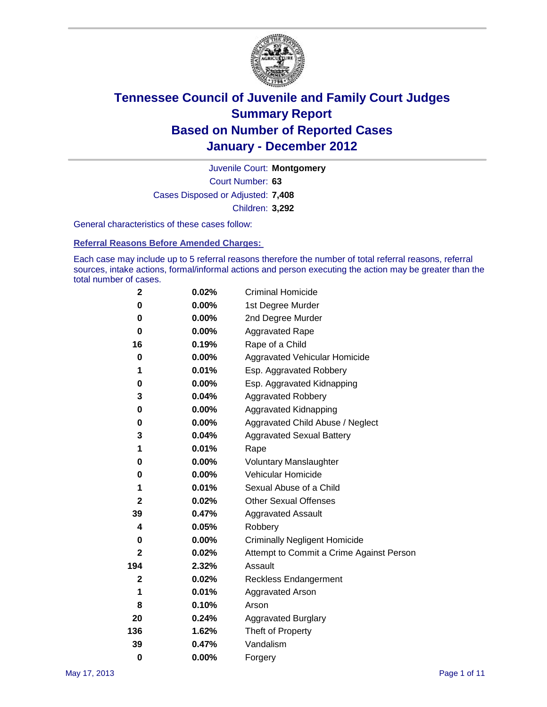

Court Number: **63** Juvenile Court: **Montgomery** Cases Disposed or Adjusted: **7,408** Children: **3,292**

General characteristics of these cases follow:

**Referral Reasons Before Amended Charges:** 

Each case may include up to 5 referral reasons therefore the number of total referral reasons, referral sources, intake actions, formal/informal actions and person executing the action may be greater than the total number of cases.

| 2            | 0.02%    | <b>Criminal Homicide</b>                 |  |  |  |
|--------------|----------|------------------------------------------|--|--|--|
| 0            | 0.00%    | 1st Degree Murder                        |  |  |  |
| 0            | $0.00\%$ | 2nd Degree Murder                        |  |  |  |
| 0            | $0.00\%$ | <b>Aggravated Rape</b>                   |  |  |  |
| 16           | 0.19%    | Rape of a Child                          |  |  |  |
| 0            | 0.00%    | Aggravated Vehicular Homicide            |  |  |  |
| 1            | 0.01%    | Esp. Aggravated Robbery                  |  |  |  |
| 0            | $0.00\%$ | Esp. Aggravated Kidnapping               |  |  |  |
| 3            | 0.04%    | <b>Aggravated Robbery</b>                |  |  |  |
| 0            | $0.00\%$ | Aggravated Kidnapping                    |  |  |  |
| 0            | 0.00%    | Aggravated Child Abuse / Neglect         |  |  |  |
| 3            | 0.04%    | <b>Aggravated Sexual Battery</b>         |  |  |  |
| 1            | 0.01%    | Rape                                     |  |  |  |
| 0            | $0.00\%$ | <b>Voluntary Manslaughter</b>            |  |  |  |
| 0            | 0.00%    | Vehicular Homicide                       |  |  |  |
| 1            | 0.01%    | Sexual Abuse of a Child                  |  |  |  |
| $\mathbf{2}$ | 0.02%    | <b>Other Sexual Offenses</b>             |  |  |  |
| 39           | 0.47%    | <b>Aggravated Assault</b>                |  |  |  |
| 4            | 0.05%    | Robbery                                  |  |  |  |
| 0            | 0.00%    | <b>Criminally Negligent Homicide</b>     |  |  |  |
| $\mathbf{2}$ | 0.02%    | Attempt to Commit a Crime Against Person |  |  |  |
| 194          | 2.32%    | Assault                                  |  |  |  |
| $\mathbf{2}$ | 0.02%    | <b>Reckless Endangerment</b>             |  |  |  |
| 1            | 0.01%    | <b>Aggravated Arson</b>                  |  |  |  |
| 8            | 0.10%    | Arson                                    |  |  |  |
| 20           | 0.24%    | <b>Aggravated Burglary</b>               |  |  |  |
| 136          | 1.62%    | Theft of Property                        |  |  |  |
| 39           | 0.47%    | Vandalism                                |  |  |  |
| $\bf{0}$     | 0.00%    | Forgery                                  |  |  |  |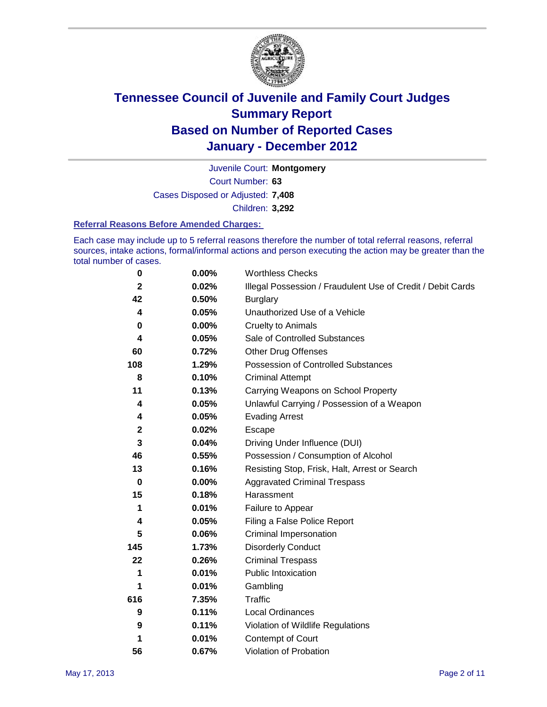

Court Number: **63** Juvenile Court: **Montgomery** Cases Disposed or Adjusted: **7,408** Children: **3,292**

#### **Referral Reasons Before Amended Charges:**

Each case may include up to 5 referral reasons therefore the number of total referral reasons, referral sources, intake actions, formal/informal actions and person executing the action may be greater than the total number of cases.

| $\pmb{0}$   | 0.00%    | <b>Worthless Checks</b>                                     |
|-------------|----------|-------------------------------------------------------------|
| $\mathbf 2$ | 0.02%    | Illegal Possession / Fraudulent Use of Credit / Debit Cards |
| 42          | 0.50%    | <b>Burglary</b>                                             |
| 4           | 0.05%    | Unauthorized Use of a Vehicle                               |
| 0           | $0.00\%$ | <b>Cruelty to Animals</b>                                   |
| 4           | 0.05%    | Sale of Controlled Substances                               |
| 60          | 0.72%    | <b>Other Drug Offenses</b>                                  |
| 108         | 1.29%    | Possession of Controlled Substances                         |
| 8           | 0.10%    | <b>Criminal Attempt</b>                                     |
| 11          | 0.13%    | Carrying Weapons on School Property                         |
| 4           | 0.05%    | Unlawful Carrying / Possession of a Weapon                  |
| 4           | 0.05%    | <b>Evading Arrest</b>                                       |
| $\mathbf 2$ | 0.02%    | Escape                                                      |
| 3           | 0.04%    | Driving Under Influence (DUI)                               |
| 46          | 0.55%    | Possession / Consumption of Alcohol                         |
| 13          | 0.16%    | Resisting Stop, Frisk, Halt, Arrest or Search               |
| $\mathbf 0$ | $0.00\%$ | <b>Aggravated Criminal Trespass</b>                         |
| 15          | 0.18%    | Harassment                                                  |
| 1           | 0.01%    | Failure to Appear                                           |
| 4           | 0.05%    | Filing a False Police Report                                |
| 5           | 0.06%    | Criminal Impersonation                                      |
| 145         | 1.73%    | <b>Disorderly Conduct</b>                                   |
| 22          | 0.26%    | <b>Criminal Trespass</b>                                    |
| 1           | 0.01%    | <b>Public Intoxication</b>                                  |
| 1           | 0.01%    | Gambling                                                    |
| 616         | 7.35%    | <b>Traffic</b>                                              |
| 9           | 0.11%    | Local Ordinances                                            |
| 9           | 0.11%    | Violation of Wildlife Regulations                           |
| 1           | 0.01%    | Contempt of Court                                           |
| 56          | 0.67%    | Violation of Probation                                      |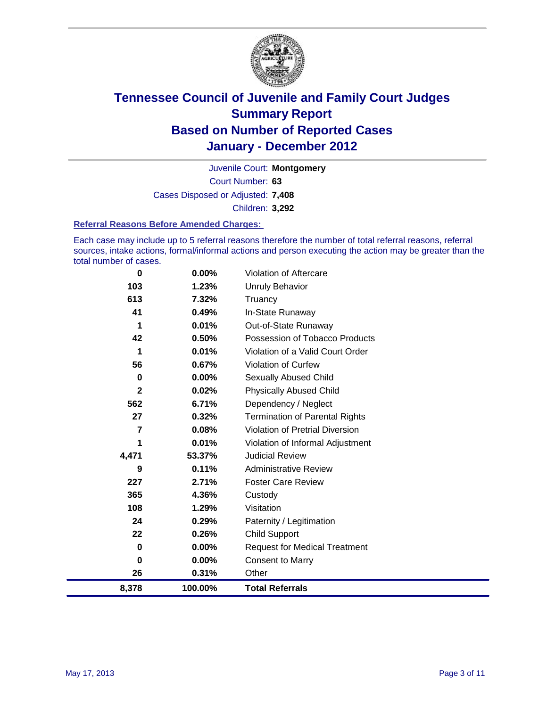

Court Number: **63** Juvenile Court: **Montgomery** Cases Disposed or Adjusted: **7,408** Children: **3,292**

#### **Referral Reasons Before Amended Charges:**

Each case may include up to 5 referral reasons therefore the number of total referral reasons, referral sources, intake actions, formal/informal actions and person executing the action may be greater than the total number of cases.

| $\mathbf 0$             | 0.00%    | Violation of Aftercare                 |
|-------------------------|----------|----------------------------------------|
| 103                     | 1.23%    | <b>Unruly Behavior</b>                 |
| 613                     | 7.32%    | Truancy                                |
| 41                      | 0.49%    | In-State Runaway                       |
| 1                       | 0.01%    | Out-of-State Runaway                   |
| 42                      | 0.50%    | Possession of Tobacco Products         |
| 1                       | 0.01%    | Violation of a Valid Court Order       |
| 56                      | 0.67%    | Violation of Curfew                    |
| 0                       | $0.00\%$ | Sexually Abused Child                  |
| $\overline{\mathbf{2}}$ | 0.02%    | <b>Physically Abused Child</b>         |
| 562                     | 6.71%    | Dependency / Neglect                   |
| 27                      | 0.32%    | <b>Termination of Parental Rights</b>  |
| 7                       | 0.08%    | <b>Violation of Pretrial Diversion</b> |
| 1                       | 0.01%    | Violation of Informal Adjustment       |
| 4,471                   | 53.37%   | <b>Judicial Review</b>                 |
| 9                       | 0.11%    | <b>Administrative Review</b>           |
| 227                     | 2.71%    | <b>Foster Care Review</b>              |
| 365                     | 4.36%    | Custody                                |
| 108                     | 1.29%    | Visitation                             |
| 24                      | 0.29%    | Paternity / Legitimation               |
| 22                      | 0.26%    | <b>Child Support</b>                   |
| 0                       | 0.00%    | <b>Request for Medical Treatment</b>   |
| 0                       | 0.00%    | <b>Consent to Marry</b>                |
| 26                      | 0.31%    | Other                                  |
| 8,378                   | 100.00%  | <b>Total Referrals</b>                 |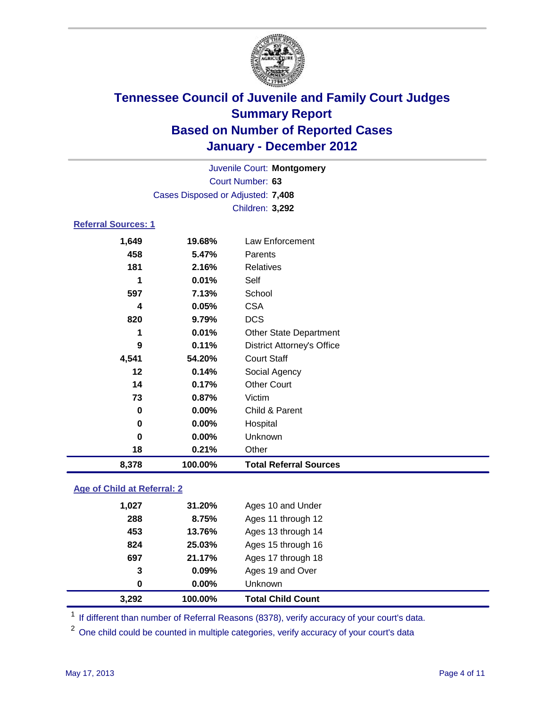

|                            | Juvenile Court: Montgomery        |                                   |  |  |
|----------------------------|-----------------------------------|-----------------------------------|--|--|
|                            |                                   | Court Number: 63                  |  |  |
|                            | Cases Disposed or Adjusted: 7,408 |                                   |  |  |
|                            |                                   | Children: 3,292                   |  |  |
| <b>Referral Sources: 1</b> |                                   |                                   |  |  |
| 1,649                      | 19.68%                            | Law Enforcement                   |  |  |
| 458                        | 5.47%                             | Parents                           |  |  |
| 181                        | 2.16%                             | Relatives                         |  |  |
| 1                          | 0.01%                             | Self                              |  |  |
| 597                        | 7.13%                             | School                            |  |  |
| 4                          | 0.05%                             | <b>CSA</b>                        |  |  |
| 820                        | 9.79%                             | <b>DCS</b>                        |  |  |
| 1                          | 0.01%                             | Other State Department            |  |  |
| 9                          | 0.11%                             | <b>District Attorney's Office</b> |  |  |
| 4,541                      | 54.20%                            | <b>Court Staff</b>                |  |  |
| 12                         | 0.14%                             | Social Agency                     |  |  |
| 14                         | 0.17%                             | <b>Other Court</b>                |  |  |
| 73                         | 0.87%                             | Victim                            |  |  |
| 0                          | 0.00%                             | Child & Parent                    |  |  |
| 0                          | 0.00%                             | Hospital                          |  |  |
| 0                          | 0.00%                             | Unknown                           |  |  |
| 18                         | 0.21%                             | Other                             |  |  |
| 8,378                      | 100.00%                           | <b>Total Referral Sources</b>     |  |  |

### **Age of Child at Referral: 2**

| 3,292 | 100.00% | <b>Total Child Count</b> |  |
|-------|---------|--------------------------|--|
| 0     | 0.00%   | Unknown                  |  |
| 3     | 0.09%   | Ages 19 and Over         |  |
| 697   | 21.17%  | Ages 17 through 18       |  |
| 824   | 25.03%  | Ages 15 through 16       |  |
| 453   | 13.76%  | Ages 13 through 14       |  |
| 288   | 8.75%   | Ages 11 through 12       |  |
| 1,027 | 31.20%  | Ages 10 and Under        |  |
|       |         |                          |  |

<sup>1</sup> If different than number of Referral Reasons (8378), verify accuracy of your court's data.

<sup>2</sup> One child could be counted in multiple categories, verify accuracy of your court's data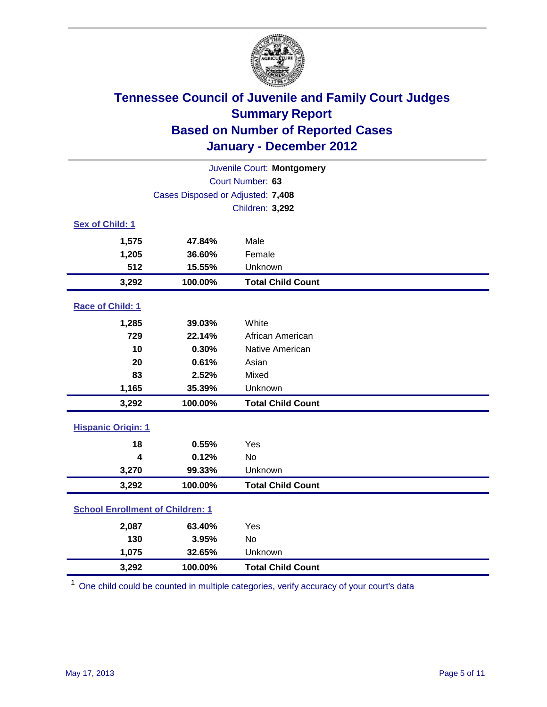

| Juvenile Court: Montgomery              |                                   |                          |  |  |  |
|-----------------------------------------|-----------------------------------|--------------------------|--|--|--|
| Court Number: 63                        |                                   |                          |  |  |  |
|                                         | Cases Disposed or Adjusted: 7,408 |                          |  |  |  |
|                                         |                                   | Children: 3,292          |  |  |  |
| Sex of Child: 1                         |                                   |                          |  |  |  |
| 1,575                                   | 47.84%                            | Male                     |  |  |  |
| 1,205                                   | 36.60%                            | Female                   |  |  |  |
| 512                                     | 15.55%                            | Unknown                  |  |  |  |
| 3,292                                   | 100.00%                           | <b>Total Child Count</b> |  |  |  |
| Race of Child: 1                        |                                   |                          |  |  |  |
| 1,285                                   | 39.03%                            | White                    |  |  |  |
| 729                                     | 22.14%                            | African American         |  |  |  |
| 10                                      | 0.30%                             | Native American          |  |  |  |
| 20                                      | 0.61%                             | Asian                    |  |  |  |
| 83                                      | 2.52%                             | Mixed                    |  |  |  |
| 1,165                                   | 35.39%                            | Unknown                  |  |  |  |
| 3,292                                   | 100.00%                           | <b>Total Child Count</b> |  |  |  |
| <b>Hispanic Origin: 1</b>               |                                   |                          |  |  |  |
| 18                                      | 0.55%                             | Yes                      |  |  |  |
| $\overline{\mathbf{4}}$                 | 0.12%                             | No                       |  |  |  |
| 3,270                                   | 99.33%                            | Unknown                  |  |  |  |
| 3,292                                   | 100.00%                           | <b>Total Child Count</b> |  |  |  |
| <b>School Enrollment of Children: 1</b> |                                   |                          |  |  |  |
| 2,087                                   | 63.40%                            | Yes                      |  |  |  |
| 130                                     | 3.95%                             | <b>No</b>                |  |  |  |
| 1,075                                   | 32.65%                            | Unknown                  |  |  |  |
| 3,292                                   | 100.00%                           | <b>Total Child Count</b> |  |  |  |

<sup>1</sup> One child could be counted in multiple categories, verify accuracy of your court's data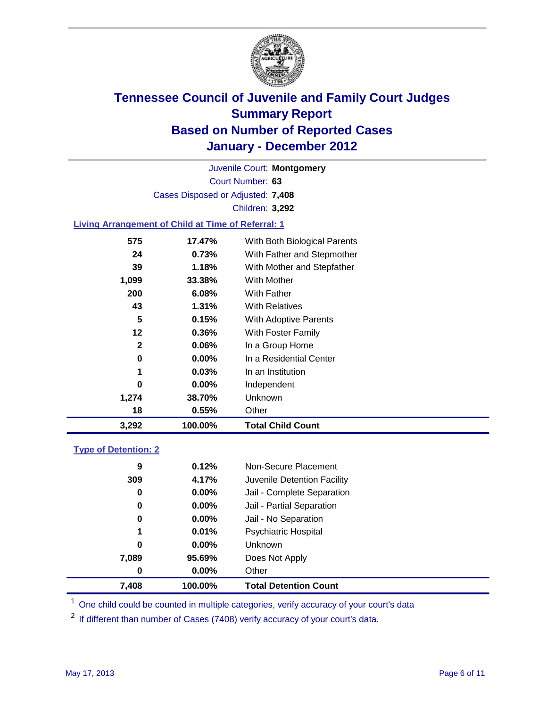

Court Number: **63** Juvenile Court: **Montgomery** Cases Disposed or Adjusted: **7,408** Children: **3,292**

### **Living Arrangement of Child at Time of Referral: 1**

| 3,292        | 100.00%  | <b>Total Child Count</b>     |  |
|--------------|----------|------------------------------|--|
| 18           | 0.55%    | Other                        |  |
| 1,274        | 38.70%   | Unknown                      |  |
| 0            | $0.00\%$ | Independent                  |  |
| 1            | 0.03%    | In an Institution            |  |
| 0            | $0.00\%$ | In a Residential Center      |  |
| $\mathbf{2}$ | 0.06%    | In a Group Home              |  |
| 12           | 0.36%    | With Foster Family           |  |
| 5            | 0.15%    | With Adoptive Parents        |  |
| 43           | 1.31%    | <b>With Relatives</b>        |  |
| 200          | 6.08%    | <b>With Father</b>           |  |
| 1,099        | 33.38%   | <b>With Mother</b>           |  |
| 39           | 1.18%    | With Mother and Stepfather   |  |
| 24           | 0.73%    | With Father and Stepmother   |  |
| 575          | 17.47%   | With Both Biological Parents |  |
|              |          |                              |  |

#### **Type of Detention: 2**

| 7,408 | 100.00%  | <b>Total Detention Count</b> |  |
|-------|----------|------------------------------|--|
| 0     | $0.00\%$ | Other                        |  |
| 7,089 | 95.69%   | Does Not Apply               |  |
| 0     | $0.00\%$ | <b>Unknown</b>               |  |
| 1     | 0.01%    | <b>Psychiatric Hospital</b>  |  |
| 0     | 0.00%    | Jail - No Separation         |  |
| 0     | $0.00\%$ | Jail - Partial Separation    |  |
| 0     | 0.00%    | Jail - Complete Separation   |  |
| 309   | 4.17%    | Juvenile Detention Facility  |  |
| 9     | 0.12%    | Non-Secure Placement         |  |
|       |          |                              |  |

<sup>1</sup> One child could be counted in multiple categories, verify accuracy of your court's data

<sup>2</sup> If different than number of Cases (7408) verify accuracy of your court's data.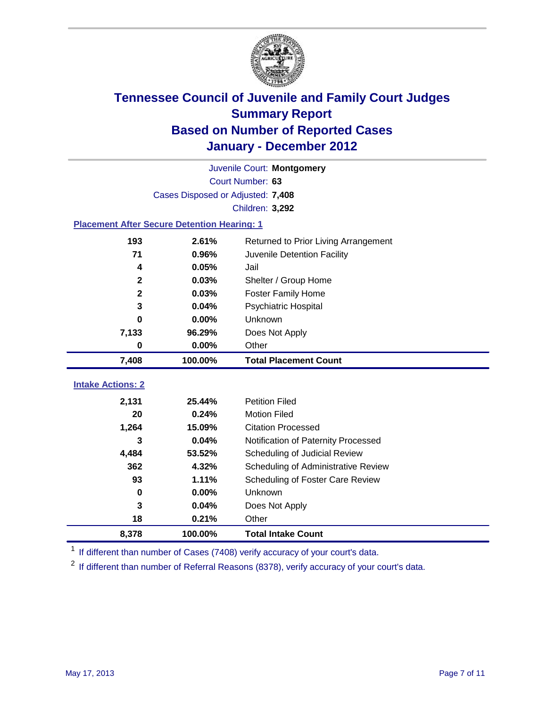

|                                                    | Juvenile Court: Montgomery        |                                      |  |  |  |
|----------------------------------------------------|-----------------------------------|--------------------------------------|--|--|--|
|                                                    | Court Number: 63                  |                                      |  |  |  |
|                                                    | Cases Disposed or Adjusted: 7,408 |                                      |  |  |  |
|                                                    |                                   | Children: 3,292                      |  |  |  |
| <b>Placement After Secure Detention Hearing: 1</b> |                                   |                                      |  |  |  |
| 193                                                | 2.61%                             | Returned to Prior Living Arrangement |  |  |  |
| 71                                                 | 0.96%                             | Juvenile Detention Facility          |  |  |  |
| 4                                                  | 0.05%                             | Jail                                 |  |  |  |
| $\mathbf{2}$                                       | 0.03%                             | Shelter / Group Home                 |  |  |  |
| $\overline{\mathbf{2}}$                            | 0.03%                             | <b>Foster Family Home</b>            |  |  |  |
| 3                                                  | 0.04%                             | <b>Psychiatric Hospital</b>          |  |  |  |
| 0                                                  | 0.00%                             | Unknown                              |  |  |  |
| 7,133                                              | 96.29%                            | Does Not Apply                       |  |  |  |
| 0                                                  | 0.00%                             | Other                                |  |  |  |
| 7,408                                              | 100.00%                           | <b>Total Placement Count</b>         |  |  |  |
| <b>Intake Actions: 2</b>                           |                                   |                                      |  |  |  |
|                                                    |                                   |                                      |  |  |  |
| 2,131                                              | 25.44%                            | <b>Petition Filed</b>                |  |  |  |
| 20                                                 | 0.24%                             | <b>Motion Filed</b>                  |  |  |  |
| 1,264                                              | 15.09%                            | <b>Citation Processed</b>            |  |  |  |
| 3                                                  | 0.04%                             | Notification of Paternity Processed  |  |  |  |
| 4,484                                              | 53.52%                            | Scheduling of Judicial Review        |  |  |  |
| 362                                                | 4.32%                             | Scheduling of Administrative Review  |  |  |  |
| 93                                                 | 1.11%                             | Scheduling of Foster Care Review     |  |  |  |
| 0                                                  | 0.00%                             | Unknown                              |  |  |  |
| 3                                                  | 0.04%                             | Does Not Apply                       |  |  |  |
| 18                                                 | 0.21%                             | Other                                |  |  |  |

<sup>1</sup> If different than number of Cases (7408) verify accuracy of your court's data.

<sup>2</sup> If different than number of Referral Reasons (8378), verify accuracy of your court's data.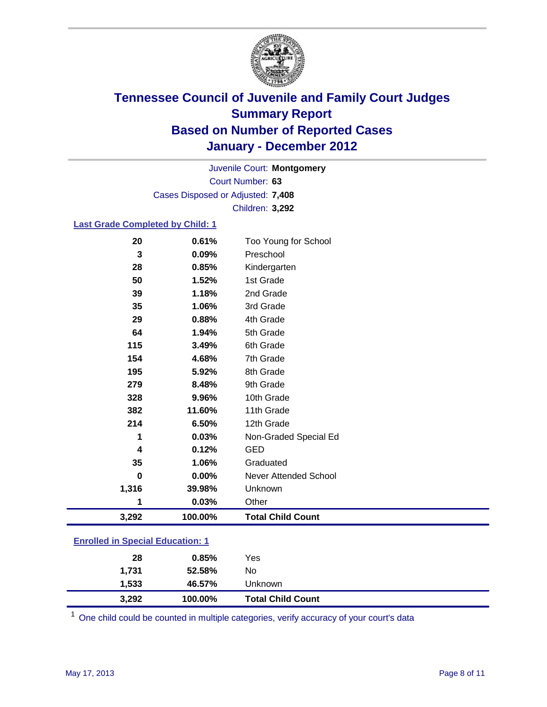

Court Number: **63** Juvenile Court: **Montgomery** Cases Disposed or Adjusted: **7,408** Children: **3,292**

### **Last Grade Completed by Child: 1**

|          | <b>Enrolled in Special Education: 1</b> |                              |  |  |
|----------|-----------------------------------------|------------------------------|--|--|
| 3,292    | 100.00%                                 | <b>Total Child Count</b>     |  |  |
| 1        | 0.03%                                   | Other                        |  |  |
| 1,316    | 39.98%                                  | Unknown                      |  |  |
| $\bf{0}$ | 0.00%                                   | <b>Never Attended School</b> |  |  |
| 35       | 1.06%                                   | Graduated                    |  |  |
| 4        | 0.12%                                   | <b>GED</b>                   |  |  |
| 1        | 0.03%                                   | Non-Graded Special Ed        |  |  |
| 214      | 6.50%                                   | 12th Grade                   |  |  |
| 382      | 11.60%                                  | 11th Grade                   |  |  |
| 328      | 9.96%                                   | 10th Grade                   |  |  |
| 279      | 8.48%                                   | 9th Grade                    |  |  |
| 195      | 5.92%                                   | 8th Grade                    |  |  |
| 154      | 4.68%                                   | 7th Grade                    |  |  |
| 115      | 3.49%                                   | 6th Grade                    |  |  |
| 64       | 1.94%                                   | 5th Grade                    |  |  |
| 29       | 0.88%                                   | 4th Grade                    |  |  |
| 35       | 1.06%                                   | 3rd Grade                    |  |  |
| 39       | 1.18%                                   | 2nd Grade                    |  |  |
| 50       | 1.52%                                   | 1st Grade                    |  |  |
| 28       | 0.85%                                   | Kindergarten                 |  |  |
| 3        | 0.09%                                   | Preschool                    |  |  |
| 20       | 0.61%                                   | Too Young for School         |  |  |

| 1.533 | 46.57%  | Jnknown                  |  |
|-------|---------|--------------------------|--|
| 3.292 | 100.00% | <b>Total Child Count</b> |  |

 $1$  One child could be counted in multiple categories, verify accuracy of your court's data

**1,731 52.58%** No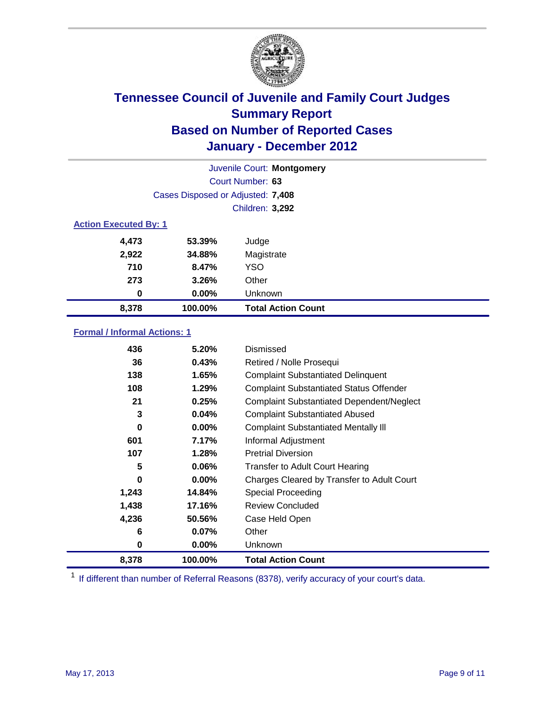

| Juvenile Court: Montgomery   |                                   |                           |  |  |
|------------------------------|-----------------------------------|---------------------------|--|--|
|                              | Court Number: 63                  |                           |  |  |
|                              | Cases Disposed or Adjusted: 7,408 |                           |  |  |
|                              |                                   | <b>Children: 3,292</b>    |  |  |
| <b>Action Executed By: 1</b> |                                   |                           |  |  |
| 4,473                        | 53.39%                            | Judge                     |  |  |
| 2,922                        | 34.88%                            | Magistrate                |  |  |
| 710                          | 8.47%                             | <b>YSO</b>                |  |  |
| 273                          | 3.26%                             | Other                     |  |  |
| 0                            | 0.00%                             | <b>Unknown</b>            |  |  |
| 8,378                        | 100.00%                           | <b>Total Action Count</b> |  |  |

### **Formal / Informal Actions: 1**

| 8,378    | 100.00%  | <b>Total Action Count</b>                        |
|----------|----------|--------------------------------------------------|
| 0        | $0.00\%$ | Unknown                                          |
| 6        | 0.07%    | Other                                            |
| 4,236    | 50.56%   | Case Held Open                                   |
| 1,438    | 17.16%   | <b>Review Concluded</b>                          |
| 1,243    | 14.84%   | <b>Special Proceeding</b>                        |
| 0        | $0.00\%$ | Charges Cleared by Transfer to Adult Court       |
| 5        | 0.06%    | <b>Transfer to Adult Court Hearing</b>           |
| 107      | 1.28%    | <b>Pretrial Diversion</b>                        |
| 601      | 7.17%    | Informal Adjustment                              |
| $\bf{0}$ | $0.00\%$ | <b>Complaint Substantiated Mentally III</b>      |
| 3        | 0.04%    | <b>Complaint Substantiated Abused</b>            |
| 21       | 0.25%    | <b>Complaint Substantiated Dependent/Neglect</b> |
| 108      | 1.29%    | <b>Complaint Substantiated Status Offender</b>   |
| 138      | 1.65%    | <b>Complaint Substantiated Delinquent</b>        |
| 36       | 0.43%    | Retired / Nolle Prosequi                         |
| 436      | 5.20%    | Dismissed                                        |

<sup>1</sup> If different than number of Referral Reasons (8378), verify accuracy of your court's data.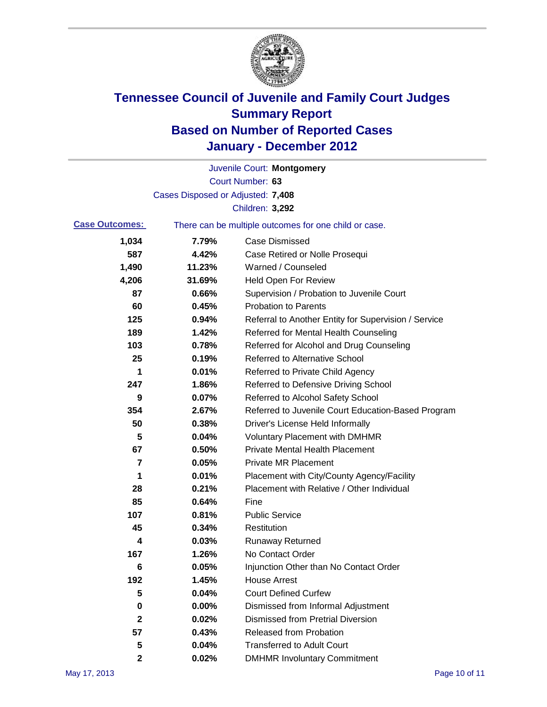

|                       |                                   | Juvenile Court: Montgomery                            |
|-----------------------|-----------------------------------|-------------------------------------------------------|
|                       |                                   | Court Number: 63                                      |
|                       | Cases Disposed or Adjusted: 7,408 |                                                       |
|                       |                                   | Children: 3,292                                       |
| <b>Case Outcomes:</b> |                                   | There can be multiple outcomes for one child or case. |
| 1,034                 | 7.79%                             | <b>Case Dismissed</b>                                 |
| 587                   | 4.42%                             | Case Retired or Nolle Prosequi                        |
| 1,490                 | 11.23%                            | Warned / Counseled                                    |
| 4,206                 | 31.69%                            | <b>Held Open For Review</b>                           |
| 87                    | 0.66%                             | Supervision / Probation to Juvenile Court             |
| 60                    | 0.45%                             | <b>Probation to Parents</b>                           |
| 125                   | 0.94%                             | Referral to Another Entity for Supervision / Service  |
| 189                   | 1.42%                             | Referred for Mental Health Counseling                 |
| 103                   | 0.78%                             | Referred for Alcohol and Drug Counseling              |
| 25                    | 0.19%                             | <b>Referred to Alternative School</b>                 |
| 1                     | 0.01%                             | Referred to Private Child Agency                      |
| 247                   | 1.86%                             | Referred to Defensive Driving School                  |
| 9                     | 0.07%                             | Referred to Alcohol Safety School                     |
| 354                   | 2.67%                             | Referred to Juvenile Court Education-Based Program    |
| 50                    | 0.38%                             | Driver's License Held Informally                      |
| 5                     | 0.04%                             | <b>Voluntary Placement with DMHMR</b>                 |
| 67                    | 0.50%                             | <b>Private Mental Health Placement</b>                |
| 7                     | 0.05%                             | <b>Private MR Placement</b>                           |
| 1                     | 0.01%                             | Placement with City/County Agency/Facility            |
| 28                    | 0.21%                             | Placement with Relative / Other Individual            |
| 85                    | 0.64%                             | Fine                                                  |
| 107                   | 0.81%                             | <b>Public Service</b>                                 |
| 45                    | 0.34%                             | Restitution                                           |
| 4                     | 0.03%                             | <b>Runaway Returned</b>                               |
| 167                   | 1.26%                             | No Contact Order                                      |
| 6                     | 0.05%                             | Injunction Other than No Contact Order                |
| 192                   | 1.45%                             | <b>House Arrest</b>                                   |
| 5                     | 0.04%                             | <b>Court Defined Curfew</b>                           |
| 0                     | 0.00%                             | Dismissed from Informal Adjustment                    |
| $\mathbf 2$           | 0.02%                             | <b>Dismissed from Pretrial Diversion</b>              |
| 57                    | 0.43%                             | Released from Probation                               |
| 5                     | 0.04%                             | <b>Transferred to Adult Court</b>                     |
| 2                     | 0.02%                             | <b>DMHMR Involuntary Commitment</b>                   |